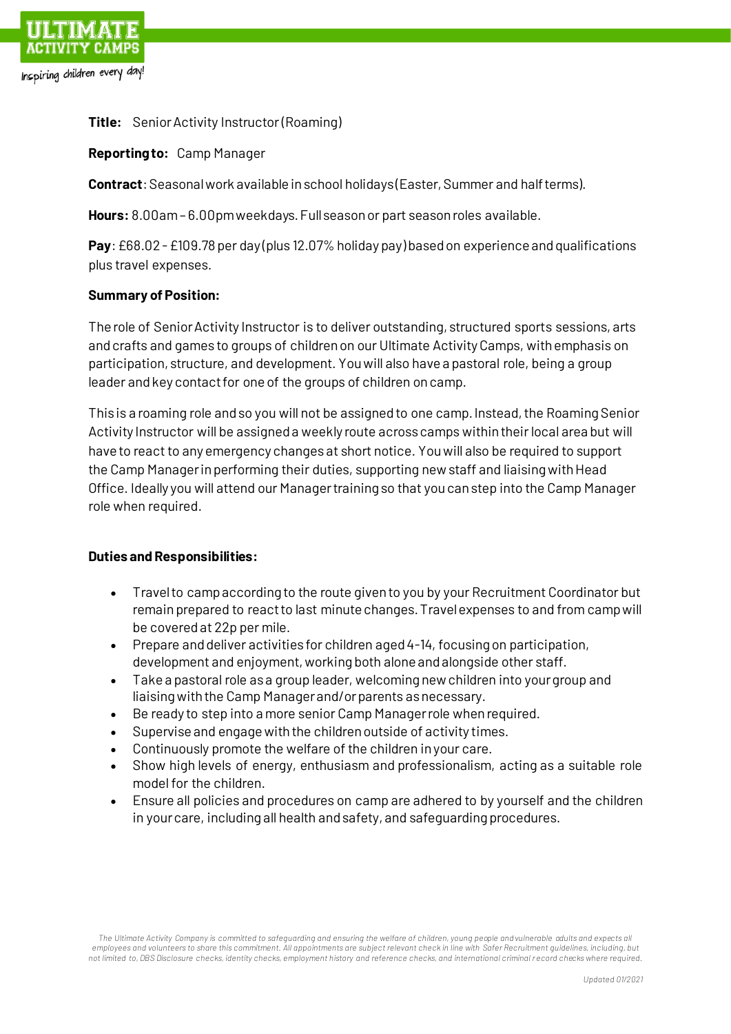

**Title:** Senior Activity Instructor (Roaming)

**Reporting to:** Camp Manager

**Contract**: Seasonal work available in school holidays (Easter, Summer and half terms).

**Hours:** 8.00am – 6.00pm weekdays. Full season or part season roles available.

**Pay**: £68.02 -£109.78 per day (plus 12.07% holiday pay) based on experience and qualifications plus travel expenses.

## **Summary of Position:**

The role of Senior Activity Instructor is to deliver outstanding, structured sports sessions, arts and crafts and games to groups of children on our Ultimate Activity Camps, with emphasis on participation, structure, and development. You will also have a pastoral role, being a group leader and key contact for one of the groups of children on camp.

This is a roaming role and so you will not be assigned to one camp. Instead, the Roaming Senior Activity Instructor will be assigned a weekly route across camps within their local area but will have to react to any emergency changes at short notice. You will also be required to support the Camp Manager in performing their duties, supporting new staff and liaising with Head Office. Ideally you will attend our Manager training so that you can step into the Camp Manager role when required.

## **Duties and Responsibilities:**

- Travel to camp according to the route given to you by your Recruitment Coordinator but remain prepared to react to last minute changes. Travel expenses to and from camp will be covered at 22p per mile.
- Prepare and deliver activities for children aged 4-14, focusing on participation, development and enjoyment, working both alone and alongside other staff.
- Take a pastoral role as a group leader, welcoming new children into your group and liaising with the Camp Manager and/or parents as necessary.
- Be ready to step into a more senior Camp Manager role when required.
- Supervise and engage with the children outside of activity times.
- Continuously promote the welfare of the children in your care.
- Show high levels of energy, enthusiasm and professionalism, acting as a suitable role model for the children.
- Ensure all policies and procedures on camp are adhered to by yourself and the children in your care, including all health and safety, and safeguarding procedures.

*The Ultimate Activity Company is committed to safeguarding and ensuring the welfare of children, young people and vulnerable adults and expects all employees and volunteers to share this commitment. All appointments are subject relevant check in line with Safer Recruitment guidelines, including, but not limited to, DBS Disclosure checks, identity checks, employment history and reference checks, and international criminal record checks where required.*